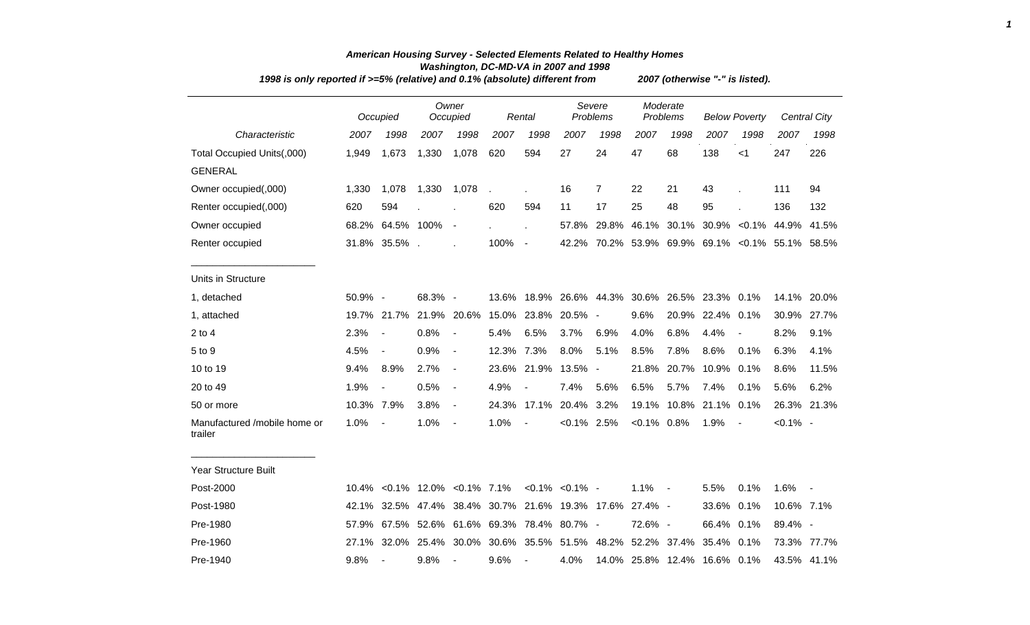| 1998 is only reported if >=5% (relative) and 0.1% (absolute) different from | 2007 (otherwise "-" is listed). |                                     |         |                          |            |                                       |                       |                                                   |                |                      |                              |                          |             |                     |
|-----------------------------------------------------------------------------|---------------------------------|-------------------------------------|---------|--------------------------|------------|---------------------------------------|-----------------------|---------------------------------------------------|----------------|----------------------|------------------------------|--------------------------|-------------|---------------------|
|                                                                             |                                 | Occupied                            |         | Owner<br>Occupied        |            | Rental                                |                       | Severe<br>Problems                                |                | Moderate<br>Problems |                              | <b>Below Poverty</b>     |             | <b>Central City</b> |
| Characteristic                                                              | 2007                            | 1998                                | 2007    | 1998                     | 2007       | 1998                                  | 2007                  | 1998                                              | 2007           | 1998                 | 2007                         | 1998                     | 2007        | 1998                |
| Total Occupied Units(,000)                                                  | 1,949                           | 1,673                               | 1,330   | 1,078                    | 620        | 594                                   | 27                    | 24                                                | 47             | 68                   | 138                          | $<$ 1                    | 247         | 226                 |
| <b>GENERAL</b>                                                              |                                 |                                     |         |                          |            |                                       |                       |                                                   |                |                      |                              |                          |             |                     |
| Owner occupied(,000)                                                        | 1,330                           | 1,078                               | 1,330   | 1,078                    |            |                                       | 16                    | $\overline{7}$                                    | 22             | 21                   | 43                           |                          | 111         | 94                  |
| Renter occupied(,000)                                                       | 620                             | 594                                 |         |                          | 620        | 594                                   | 11                    | 17                                                | 25             | 48                   | 95                           |                          | 136         | 132                 |
| Owner occupied                                                              |                                 | 68.2% 64.5% 100%                    |         | $\sim$                   |            | Ĭ.                                    | 57.8%                 | 29.8%                                             | 46.1%          | 30.1%                |                              | $30.9\% < 0.1\%$         | 44.9%       | 41.5%               |
| Renter occupied                                                             |                                 | 31.8% 35.5%.                        |         |                          | 100%       | $\blacksquare$                        |                       | 42.2% 70.2% 53.9% 69.9% 69.1% < 0.1% 55.1% 58.5%  |                |                      |                              |                          |             |                     |
| Units in Structure                                                          |                                 |                                     |         |                          |            |                                       |                       |                                                   |                |                      |                              |                          |             |                     |
| 1, detached                                                                 | 50.9% -                         |                                     | 68.3% - |                          | 13.6%      |                                       |                       | 18.9% 26.6% 44.3% 30.6% 26.5% 23.3% 0.1%          |                |                      |                              |                          |             | 14.1% 20.0%         |
| 1, attached                                                                 | 19.7%                           | 21.7%                               |         | 21.9% 20.6%              |            | 15.0% 23.8%                           | $20.5\%$ -            |                                                   | 9.6%           | 20.9%                | 22.4% 0.1%                   |                          | 30.9%       | 27.7%               |
| $2$ to $4$                                                                  | 2.3%                            | $\overline{\phantom{a}}$            | 0.8%    | $\blacksquare$           | 5.4%       | 6.5%                                  | 3.7%                  | 6.9%                                              | 4.0%           | 6.8%                 | 4.4%                         | $\blacksquare$           | 8.2%        | 9.1%                |
| 5 to 9                                                                      | 4.5%                            | $\blacksquare$                      | 0.9%    | $\blacksquare$           | 12.3% 7.3% |                                       | 8.0%                  | 5.1%                                              | 8.5%           | 7.8%                 | 8.6%                         | 0.1%                     | 6.3%        | 4.1%                |
| 10 to 19                                                                    | 9.4%                            | 8.9%                                | 2.7%    | $\blacksquare$           |            | 23.6% 21.9%                           | 13.5%                 | $\sim$                                            | 21.8%          | 20.7%                | 10.9%                        | 0.1%                     | 8.6%        | 11.5%               |
| 20 to 49                                                                    | 1.9%                            | $\overline{\phantom{a}}$            | 0.5%    | $\blacksquare$           | 4.9%       |                                       | 7.4%                  | 5.6%                                              | 6.5%           | 5.7%                 | 7.4%                         | 0.1%                     | 5.6%        | 6.2%                |
| 50 or more                                                                  | 10.3% 7.9%                      |                                     | 3.8%    | $\blacksquare$           |            | 24.3% 17.1%                           | 20.4% 3.2%            |                                                   | 19.1%          |                      | 10.8% 21.1% 0.1%             |                          |             | 26.3% 21.3%         |
| Manufactured /mobile home or<br>trailer                                     | 1.0%                            | $\blacksquare$                      | 1.0%    | $\overline{\phantom{a}}$ | 1.0%       | $\overline{\phantom{a}}$              | $< 0.1\%$ 2.5%        |                                                   | $< 0.1\%$ 0.8% |                      | 1.9%                         | $\overline{\phantom{a}}$ | $< 0.1\%$ - |                     |
| <b>Year Structure Built</b>                                                 |                                 |                                     |         |                          |            |                                       |                       |                                                   |                |                      |                              |                          |             |                     |
| Post-2000                                                                   |                                 | 10.4% < 0.1% 12.0% < 0.1% 7.1%      |         |                          |            |                                       | $< 0.1\%$ $< 0.1\%$ - |                                                   | 1.1%           | $\sim$               | 5.5%                         | 0.1%                     | 1.6%        |                     |
| Post-1980                                                                   | 42.1%                           |                                     |         |                          |            |                                       |                       | 32.5% 47.4% 38.4% 30.7% 21.6% 19.3% 17.6% 27.4% - |                |                      | 33.6% 0.1%                   |                          | 10.6% 7.1%  |                     |
| Pre-1980                                                                    | 57.9%                           |                                     |         |                          |            | 67.5% 52.6% 61.6% 69.3% 78.4% 80.7% - |                       |                                                   | 72.6% -        |                      | 66.4%                        | 0.1%                     | 89.4% -     |                     |
| Pre-1960                                                                    |                                 | 27.1% 32.0% 25.4% 30.0% 30.6% 35.5% |         |                          |            |                                       |                       | 51.5% 48.2% 52.2% 37.4%                           |                |                      | 35.4% 0.1%                   |                          |             | 73.3% 77.7%         |
| Pre-1940                                                                    | 9.8%                            |                                     | 9.8%    |                          | 9.6%       |                                       | 4.0%                  |                                                   |                |                      | 14.0% 25.8% 12.4% 16.6% 0.1% |                          |             | 43.5% 41.1%         |

## *American Housing Survey - Selected Elements Related to Healthy Homes Washington, DC-MD-VA in 2007 and 1998*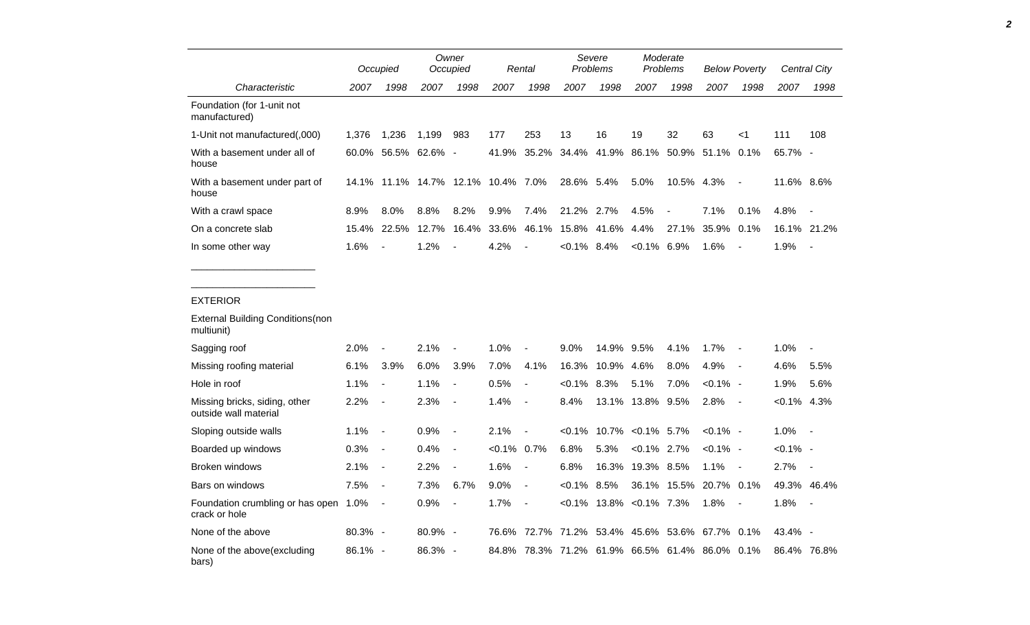|                                                        |       | Occupied                           |               | Owner<br>Occupied        |                | Rental                   | Severe<br>Problems |       | Moderate<br>Problems |            | <b>Below Poverty</b> |                          | <b>Central City</b> |                |
|--------------------------------------------------------|-------|------------------------------------|---------------|--------------------------|----------------|--------------------------|--------------------|-------|----------------------|------------|----------------------|--------------------------|---------------------|----------------|
| Characteristic                                         | 2007  | 1998                               | 2007          | 1998                     | 2007           | 1998                     | 2007               | 1998  | 2007                 | 1998       | 2007                 | 1998                     | 2007                | 1998           |
| Foundation (for 1-unit not<br>manufactured)            |       |                                    |               |                          |                |                          |                    |       |                      |            |                      |                          |                     |                |
| 1-Unit not manufactured(,000)                          | 1,376 | 1,236                              | 1,199         | 983                      | 177            | 253                      | 13                 | 16    | 19                   | 32         | 63                   | $<$ 1                    | 111                 | 108            |
| With a basement under all of<br>house                  | 60.0% |                                    | 56.5% 62.6% - |                          | 41.9%          | 35.2%                    | 34.4%              | 41.9% | 86.1%                | 50.9%      | 51.1%                | 0.1%                     | 65.7% -             |                |
| With a basement under part of<br>house                 |       | 14.1% 11.1% 14.7% 12.1% 10.4% 7.0% |               |                          |                |                          | 28.6% 5.4%         |       | 5.0%                 | 10.5% 4.3% |                      | $\overline{\phantom{a}}$ | 11.6% 8.6%          |                |
| With a crawl space                                     | 8.9%  | 8.0%                               | 8.8%          | 8.2%                     | 9.9%           | 7.4%                     | 21.2%              | 2.7%  | 4.5%                 |            | 7.1%                 | 0.1%                     | 4.8%                | $\blacksquare$ |
| On a concrete slab                                     | 15.4% | 22.5%                              | 12.7%         | 16.4%                    | 33.6%          | 46.1%                    | 15.8%              | 41.6% | 4.4%                 | 27.1%      | 35.9%                | 0.1%                     |                     | 16.1% 21.2%    |
| In some other way                                      | 1.6%  |                                    | 1.2%          |                          | 4.2%           | $\overline{\phantom{0}}$ | $< 0.1\%$ 8.4%     |       | $<0.1\%$ 6.9%        |            | 1.6%                 |                          | 1.9%                |                |
|                                                        |       |                                    |               |                          |                |                          |                    |       |                      |            |                      |                          |                     |                |
| <b>EXTERIOR</b>                                        |       |                                    |               |                          |                |                          |                    |       |                      |            |                      |                          |                     |                |
| <b>External Building Conditions (non</b><br>multiunit) |       |                                    |               |                          |                |                          |                    |       |                      |            |                      |                          |                     |                |
| Sagging roof                                           | 2.0%  |                                    | 2.1%          |                          | 1.0%           |                          | 9.0%               | 14.9% | 9.5%                 | 4.1%       | 1.7%                 | $\overline{a}$           | 1.0%                |                |
| Missing roofing material                               | 6.1%  | 3.9%                               | 6.0%          | 3.9%                     | 7.0%           | 4.1%                     | 16.3%              | 10.9% | 4.6%                 | 8.0%       | 4.9%                 | $\overline{\phantom{a}}$ | 4.6%                | 5.5%           |
| Hole in roof                                           | 1.1%  | $\overline{\phantom{a}}$           | 1.1%          | $\blacksquare$           | 0.5%           | $\blacksquare$           | $< 0.1\%$ 8.3%     |       | 5.1%                 | 7.0%       | $< 0.1\%$ -          |                          | 1.9%                | 5.6%           |
| Missing bricks, siding, other<br>outside wall material | 2.2%  | $\blacksquare$                     | 2.3%          | $\overline{\phantom{a}}$ | 1.4%           | $\blacksquare$           | 8.4%               |       | 13.1% 13.8% 9.5%     |            | 2.8%                 | $\blacksquare$           | $< 0.1\%$ 4.3%      |                |
| Sloping outside walls                                  | 1.1%  | $\overline{\phantom{a}}$           | 0.9%          | $\overline{\phantom{a}}$ | 2.1%           | $\overline{\phantom{a}}$ | $< 0.1\%$          | 10.7% | $< 0.1\%$ 5.7%       |            | $< 0.1\%$ -          |                          | 1.0%                | $\sim$         |
| Boarded up windows                                     | 0.3%  | $\blacksquare$                     | 0.4%          | $\overline{\phantom{a}}$ | $< 0.1\%$ 0.7% |                          | 6.8%               | 5.3%  | $< 0.1\%$ 2.7%       |            | $< 0.1\%$ -          |                          | $< 0.1\%$ -         |                |

Broken windows 2.1% - 2.2% - 1.6% - 6.8% 16.3% 19.3% 8.5% 1.1% - 2.7% -

None of the above 80.3% - 80.9% - 76.6% 72.7% 71.2% 53.4% 45.6% 53.6% 67.7% 0.1% 43.4% -

Bars on windows 7.5% - 7.3% 6.7% 9.0% - <0.1% 8.5% 36.1% 15.5% 20.7% 0.1% 49.3% 46.4%

1.0% - 0.9% - 1.7% - <0.1% 13.8% <0.1% 7.3% 1.8% - 1.8% -

86.1% - 86.3% - 84.8% 78.3% 71.2% 61.9% 66.5% 61.4% 86.0% 0.1% 86.4% 76.8%

crack or hole

Foundation crumbling or has open 1.0% -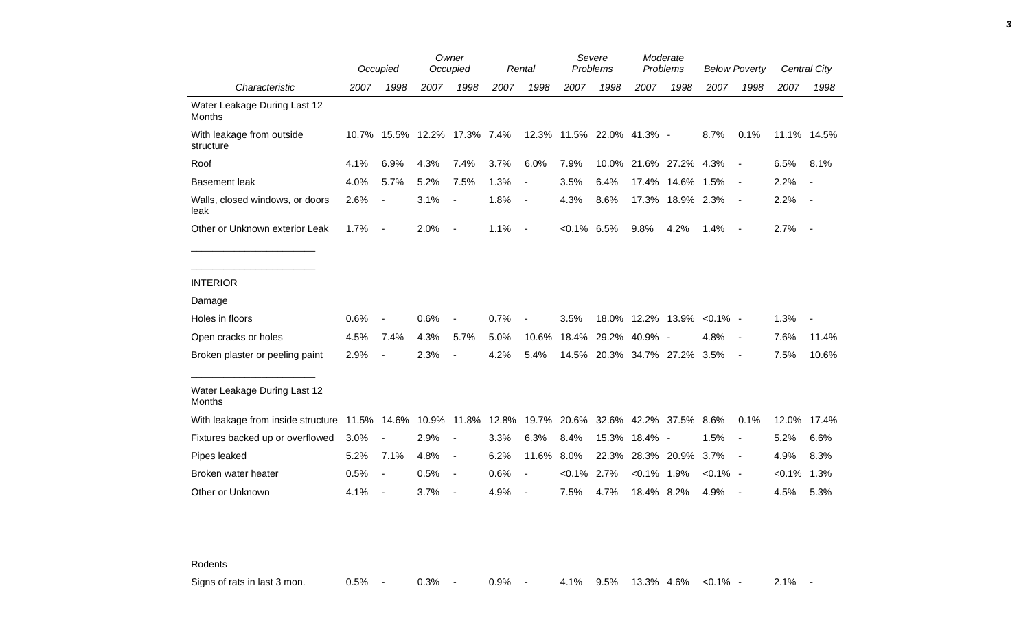|                                                                  |       | Occupied                 |                        | Owner<br>Occupied        |      | Rental         |                | Severe<br>Problems        |               | Moderate<br>Problems |             | <b>Below Poverty</b>     |           | Central City                 |
|------------------------------------------------------------------|-------|--------------------------|------------------------|--------------------------|------|----------------|----------------|---------------------------|---------------|----------------------|-------------|--------------------------|-----------|------------------------------|
| Characteristic                                                   | 2007  | 1998                     | 2007                   | 1998                     | 2007 | 1998           | 2007           | 1998                      | 2007          | 1998                 | 2007        | 1998                     | 2007      | 1998                         |
| Water Leakage During Last 12<br>Months                           |       |                          |                        |                          |      |                |                |                           |               |                      |             |                          |           |                              |
| With leakage from outside<br>structure                           | 10.7% |                          | 15.5% 12.2% 17.3% 7.4% |                          |      |                |                | 12.3% 11.5% 22.0% 41.3% - |               |                      | 8.7%        | 0.1%                     |           | 11.1% 14.5%                  |
| Roof                                                             | 4.1%  | 6.9%                     | 4.3%                   | 7.4%                     | 3.7% | 6.0%           | 7.9%           | 10.0%                     |               | 21.6% 27.2% 4.3%     |             | $\blacksquare$           | 6.5%      | 8.1%                         |
| <b>Basement leak</b>                                             | 4.0%  | 5.7%                     | 5.2%                   | 7.5%                     | 1.3% | $\blacksquare$ | 3.5%           | 6.4%                      | 17.4%         | 14.6%                | 1.5%        | $\overline{\phantom{a}}$ | 2.2%      | $\qquad \qquad \blacksquare$ |
| Walls, closed windows, or doors<br>leak                          | 2.6%  | $\blacksquare$           | 3.1%                   | $\overline{\phantom{a}}$ | 1.8% | $\sim$         | 4.3%           | 8.6%                      |               | 17.3% 18.9% 2.3%     |             | $\overline{\phantom{a}}$ | 2.2%      | $\overline{\phantom{a}}$     |
| Other or Unknown exterior Leak                                   | 1.7%  | $\overline{\phantom{a}}$ | 2.0%                   | $\overline{\phantom{a}}$ | 1.1% | $\sim$         | $< 0.1\%$ 6.5% |                           | 9.8%          | 4.2%                 | 1.4%        | $\overline{\phantom{a}}$ | 2.7%      |                              |
|                                                                  |       |                          |                        |                          |      |                |                |                           |               |                      |             |                          |           |                              |
| <b>INTERIOR</b>                                                  |       |                          |                        |                          |      |                |                |                           |               |                      |             |                          |           |                              |
| Damage                                                           |       |                          |                        |                          |      |                |                |                           |               |                      |             |                          |           |                              |
| Holes in floors                                                  | 0.6%  |                          | 0.6%                   |                          | 0.7% |                | 3.5%           |                           |               | 18.0% 12.2% 13.9%    | $< 0.1\%$ - |                          | 1.3%      |                              |
| Open cracks or holes                                             | 4.5%  | 7.4%                     | 4.3%                   | 5.7%                     | 5.0% | 10.6%          | 18.4%          |                           | 29.2% 40.9% - |                      | 4.8%        | $\overline{\phantom{a}}$ | 7.6%      | 11.4%                        |
| Broken plaster or peeling paint                                  | 2.9%  |                          | 2.3%                   |                          | 4.2% | 5.4%           |                | 14.5% 20.3% 34.7% 27.2%   |               |                      | 3.5%        | $\overline{\phantom{a}}$ | 7.5%      | 10.6%                        |
| Water Leakage During Last 12<br>Months                           |       |                          |                        |                          |      |                |                |                           |               |                      |             |                          |           |                              |
| With leakage from inside structure 11.5% 14.6% 10.9% 11.8% 12.8% |       |                          |                        |                          |      | 19.7%          | 20.6%          |                           |               | 32.6% 42.2% 37.5%    | 8.6%        | 0.1%                     | 12.0%     | 17.4%                        |
| Fixtures backed up or overflowed                                 | 3.0%  |                          | 2.9%                   | $\overline{\phantom{a}}$ | 3.3% | 6.3%           | 8.4%           | 15.3%                     | 18.4% -       |                      | 1.5%        | $\blacksquare$           | 5.2%      | 6.6%                         |
| Pipes leaked                                                     | 5.2%  | 7.1%                     | 4.8%                   | $\overline{\phantom{a}}$ | 6.2% | 11.6%          | 8.0%           | 22.3%                     |               | 28.3% 20.9%          | 3.7%        | $\overline{\phantom{a}}$ | 4.9%      | 8.3%                         |
| Broken water heater                                              | 0.5%  | $\blacksquare$           | 0.5%                   | $\overline{\phantom{a}}$ | 0.6% | $\blacksquare$ | $< 0.1\%$      | 2.7%                      | $< 0.1\%$     | 1.9%                 | $< 0.1\%$ - |                          | $< 0.1\%$ | 1.3%                         |
| Other or Unknown                                                 | 4.1%  | $\overline{\phantom{a}}$ | 3.7%                   | $\blacksquare$           | 4.9% |                | 7.5%           | 4.7%                      | 18.4% 8.2%    |                      | 4.9%        | $\overline{\phantom{a}}$ | 4.5%      | 5.3%                         |

Rodents

Signs of rats in last 3 mon. 0.5% - 0.3% - 0.9% - 4.1% 9.5% 13.3% 4.6% <0.1% - 2.1% -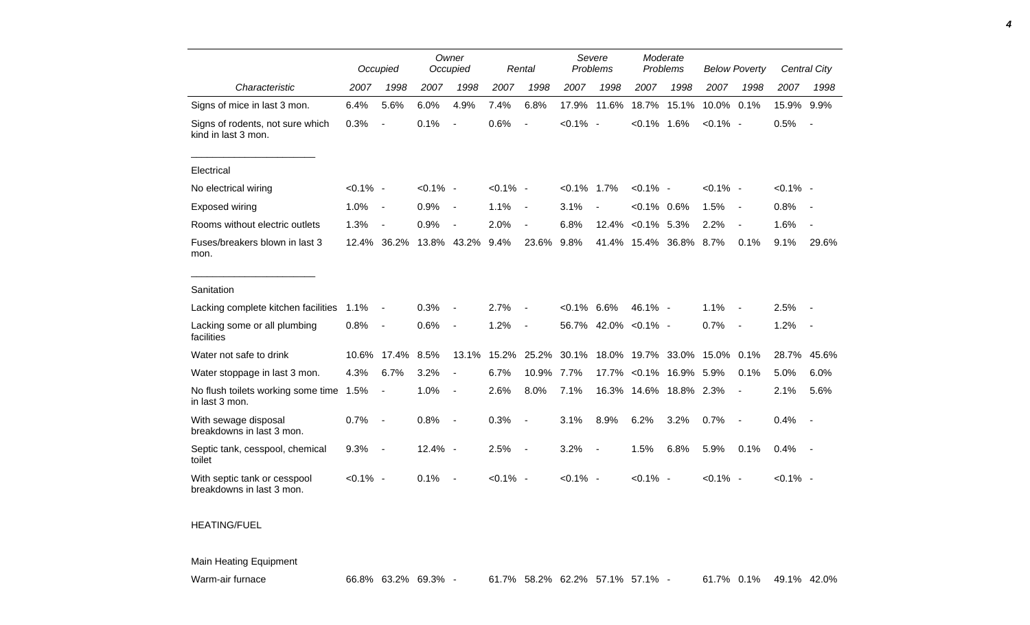|                                                           |             | Occupied                 |             | Owner<br>Occupied        |             | Rental                   | Severe<br>Problems |                          | Moderate<br>Problems |            | <b>Below Poverty</b> |                          |             | Central City             |
|-----------------------------------------------------------|-------------|--------------------------|-------------|--------------------------|-------------|--------------------------|--------------------|--------------------------|----------------------|------------|----------------------|--------------------------|-------------|--------------------------|
| Characteristic                                            | 2007        | 1998                     | 2007        | 1998                     | 2007        | 1998                     | 2007               | 1998                     | 2007                 | 1998       | 2007                 | 1998                     | 2007        | 1998                     |
| Signs of mice in last 3 mon.                              | 6.4%        | 5.6%                     | 6.0%        | 4.9%                     | 7.4%        | 6.8%                     | 17.9%              | 11.6%                    | 18.7%                | 15.1%      | 10.0% 0.1%           |                          | 15.9% 9.9%  |                          |
| Signs of rodents, not sure which<br>kind in last 3 mon.   | 0.3%        | $\overline{a}$           | 0.1%        | $\overline{a}$           | 0.6%        | $\overline{a}$           | $< 0.1\%$ -        |                          | $< 0.1\%$ 1.6%       |            | $< 0.1\%$ -          |                          | 0.5%        |                          |
| Electrical                                                |             |                          |             |                          |             |                          |                    |                          |                      |            |                      |                          |             |                          |
| No electrical wiring                                      | $< 0.1\%$ - |                          | $< 0.1\%$ - |                          | $< 0.1\%$ - |                          | $< 0.1\%$ 1.7%     |                          | $< 0.1\%$ -          |            | $< 0.1\%$ -          |                          | $< 0.1\%$ - |                          |
| Exposed wiring                                            | 1.0%        | $\overline{\phantom{a}}$ | 0.9%        | $\blacksquare$           | 1.1%        | $\overline{\phantom{a}}$ | 3.1%               |                          | $< 0.1\%$            | $0.6\%$    | 1.5%                 | $\sim$                   | 0.8%        | $\overline{\phantom{a}}$ |
| Rooms without electric outlets                            | 1.3%        |                          | 0.9%        |                          | 2.0%        |                          | 6.8%               | 12.4%                    | $< 0.1\%$            | 5.3%       | 2.2%                 |                          | 1.6%        |                          |
| Fuses/breakers blown in last 3<br>mon.                    | 12.4%       | 36.2%                    |             | 13.8% 43.2%              | 9.4%        | 23.6%                    | 9.8%               | 41.4%                    | 15.4%                | 36.8%      | 8.7%                 | 0.1%                     | 9.1%        | 29.6%                    |
| Sanitation                                                |             |                          |             |                          |             |                          |                    |                          |                      |            |                      |                          |             |                          |
| Lacking complete kitchen facilities                       | 1.1%        | $\blacksquare$           | 0.3%        |                          | 2.7%        |                          | $<0.1\%$ 6.6%      |                          | 46.1% -              |            | 1.1%                 |                          | 2.5%        |                          |
| Lacking some or all plumbing<br>facilities                | 0.8%        | $\blacksquare$           | 0.6%        | $\blacksquare$           | 1.2%        | $\blacksquare$           |                    | 56.7% 42.0%              | $< 0.1\%$ -          |            | 0.7%                 | $\overline{\phantom{a}}$ | 1.2%        | $\sim$                   |
| Water not safe to drink                                   | 10.6%       | 17.4%                    | 8.5%        | 13.1%                    | 15.2%       | 25.2%                    | 30.1%              | 18.0%                    | 19.7%                | 33.0%      | 15.0%                | 0.1%                     | 28.7%       | 45.6%                    |
| Water stoppage in last 3 mon.                             | 4.3%        | 6.7%                     | 3.2%        | $\blacksquare$           | 6.7%        | 10.9%                    | 7.7%               | 17.7%                    | $< 0.1\%$            | 16.9%      | 5.9%                 | 0.1%                     | 5.0%        | 6.0%                     |
| No flush toilets working some time<br>in last 3 mon.      | 1.5%        | $\blacksquare$           | 1.0%        | $\overline{a}$           | 2.6%        | 8.0%                     | 7.1%               |                          | 16.3% 14.6%          | 18.8% 2.3% |                      | $\blacksquare$           | 2.1%        | 5.6%                     |
| With sewage disposal<br>breakdowns in last 3 mon.         | 0.7%        |                          | 0.8%        | $\overline{\phantom{a}}$ | 0.3%        | $\blacksquare$           | 3.1%               | 8.9%                     | 6.2%                 | 3.2%       | 0.7%                 | $\overline{\phantom{a}}$ | 0.4%        |                          |
| Septic tank, cesspool, chemical<br>toilet                 | 9.3%        | $\overline{a}$           | $12.4\% -$  |                          | 2.5%        | $\overline{\phantom{a}}$ | 3.2%               | $\overline{\phantom{a}}$ | 1.5%                 | 6.8%       | 5.9%                 | 0.1%                     | 0.4%        | $\sim$ $-$               |
| With septic tank or cesspool<br>breakdowns in last 3 mon. | $< 0.1\%$ - |                          | 0.1%        |                          | $< 0.1\%$ - |                          | $< 0.1\%$ -        |                          | $< 0.1\%$ -          |            | $< 0.1\%$ -          |                          | $< 0.1\%$ - |                          |

## HEATING/FUEL

Main Heating Equipment

Warm-air furnace 66.8% 63.2% 69.3% - 61.7% 58.2% 62.2% 57.1% 57.1% - 61.7% 0.1% 49.1% 42.0%

*4*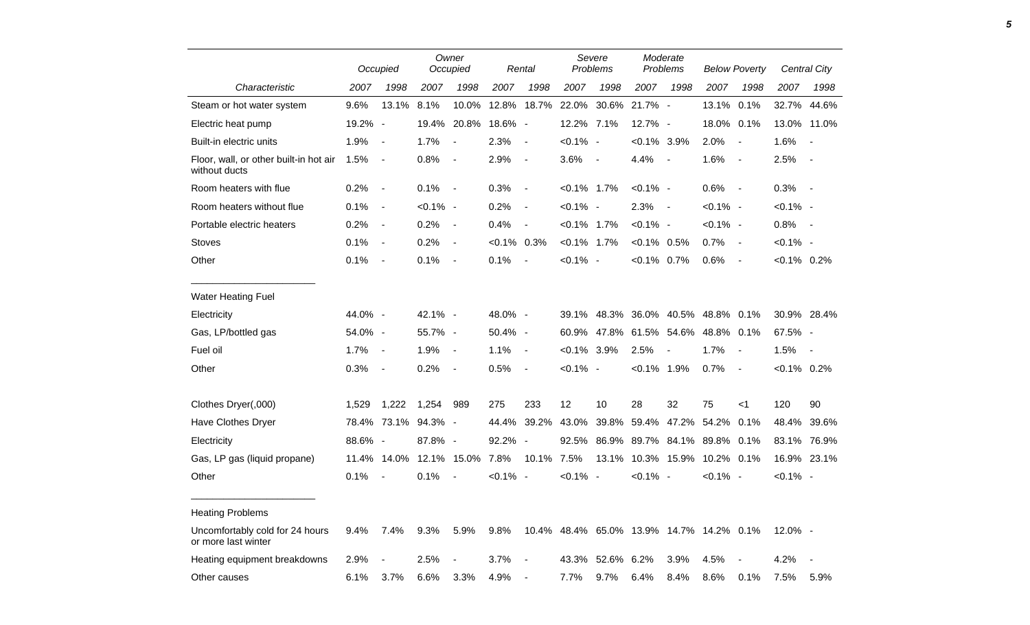|                                                         |         | Occupied       |                     | Owner<br>Occupied |                | Rental                                         |                | Severe<br>Problems |                | Moderate<br>Problems                     |             | <b>Below Poverty</b> |                | Central City             |
|---------------------------------------------------------|---------|----------------|---------------------|-------------------|----------------|------------------------------------------------|----------------|--------------------|----------------|------------------------------------------|-------------|----------------------|----------------|--------------------------|
| Characteristic                                          | 2007    | 1998           | 2007                | 1998              | 2007           | 1998                                           | 2007           | 1998               | 2007           | 1998                                     | 2007        | 1998                 | 2007           | 1998                     |
| Steam or hot water system                               | 9.6%    | 13.1%          | 8.1%                | 10.0%             |                | 12.8% 18.7% 22.0% 30.6%                        |                |                    | 21.7% -        |                                          | 13.1% 0.1%  |                      |                | 32.7% 44.6%              |
| Electric heat pump                                      | 19.2% - |                |                     | 19.4% 20.8%       | 18.6% -        |                                                | 12.2% 7.1%     |                    | 12.7% -        |                                          | 18.0% 0.1%  |                      |                | 13.0% 11.0%              |
| Built-in electric units                                 | 1.9%    | $\sim$         | 1.7%                | $\sim$ $-$        | 2.3%           | $\sim$                                         | $< 0.1\%$ -    |                    | $< 0.1\%$ 3.9% |                                          | 2.0%        | $\blacksquare$       | 1.6%           | $\overline{\phantom{a}}$ |
| Floor, wall, or other built-in hot air<br>without ducts | 1.5%    | $\sim$ $-$     | 0.8%                | $\sim$ $-$        | 2.9%           | $\sim$                                         | $3.6\%$ -      |                    | 4.4%           | $\sim$                                   | 1.6%        | $\sim$ $-$           | 2.5%           | $\sim$                   |
| Room heaters with flue                                  | 0.2%    | $\sim$         | $0.1\%$ -           |                   | 0.3%           | $\sim$                                         | $< 0.1\%$ 1.7% |                    | $< 0.1\%$ -    |                                          | $0.6\%$ -   |                      | $0.3\%$ -      |                          |
| Room heaters without flue                               | 0.1%    | $\sim$         | $< 0.1\%$ -         |                   | 0.2%           | $\sim$                                         | $< 0.1\%$ -    |                    | 2.3%           | $\sim$                                   | $< 0.1\%$ - |                      | $< 0.1\%$ -    |                          |
| Portable electric heaters                               | 0.2%    | $\sim$         | 0.2%                | $\sim$ $-$        | 0.4%           | $\overline{\phantom{a}}$                       | $< 0.1\%$ 1.7% |                    | $< 0.1\%$ -    |                                          | $< 0.1\%$ - |                      | $0.8\%$ -      |                          |
| <b>Stoves</b>                                           | 0.1%    | $\sim$         | 0.2%                | $\blacksquare$    | $< 0.1\%$ 0.3% |                                                | $< 0.1\%$ 1.7% |                    | $< 0.1\%$ 0.5% |                                          | 0.7%        | $\sim$               | $< 0.1\%$ -    |                          |
| Other                                                   | 0.1%    | $\sim$         | 0.1%                | $\sim$ $-$        | 0.1%           | $\sim$                                         | $< 0.1\%$ -    |                    | $< 0.1\%$ 0.7% |                                          | 0.6%        | $\sim$               | $< 0.1\%$ 0.2% |                          |
| <b>Water Heating Fuel</b>                               |         |                |                     |                   |                |                                                |                |                    |                |                                          |             |                      |                |                          |
| Electricity                                             | 44.0% - |                | 42.1% -             |                   | 48.0% -        |                                                |                |                    |                | 39.1% 48.3% 36.0% 40.5% 48.8% 0.1%       |             |                      |                | 30.9% 28.4%              |
| Gas, LP/bottled gas                                     | 54.0% - |                | 55.7% -             |                   | 50.4% -        |                                                |                |                    |                | 60.9% 47.8% 61.5% 54.6% 48.8% 0.1%       |             |                      | 67.5% -        |                          |
| Fuel oil                                                | 1.7%    | $\sim$         | 1.9%                | $\sim$            | 1.1%           | $\sim$ $-$                                     | $< 0.1\%$ 3.9% |                    | 2.5%           | $\blacksquare$                           | 1.7%        | $\sim$ $-$           | 1.5%           | $\sim$                   |
| Other                                                   | 0.3%    | $\sim$         | 0.2%                | $\sim$ $-$        | 0.5%           | $\sim$                                         | $< 0.1\%$ -    |                    | $< 0.1\%$ 1.9% |                                          | 0.7%        | $\sim$               | $< 0.1\%$ 0.2% |                          |
| Clothes Dryer(,000)                                     | 1,529   | 1,222          | 1,254               | 989               | 275            | 233                                            | 12             | 10                 | 28             | 32                                       | 75          | $<$ 1                | 120            | 90                       |
| Have Clothes Dryer                                      |         |                | 78.4% 73.1% 94.3% - |                   |                | 44.4% 39.2% 43.0% 39.8% 59.4% 47.2% 54.2% 0.1% |                |                    |                |                                          |             |                      |                | 48.4% 39.6%              |
| Electricity                                             | 88.6% - |                | 87.8% -             |                   | 92.2% -        |                                                |                |                    |                | 92.5% 86.9% 89.7% 84.1% 89.8% 0.1%       |             |                      |                | 83.1% 76.9%              |
| Gas, LP gas (liquid propane)                            |         | 11.4% 14.0%    |                     | 12.1% 15.0%       | 7.8%           | 10.1% 7.5%                                     |                |                    |                | 13.1% 10.3% 15.9% 10.2% 0.1%             |             |                      |                | 16.9% 23.1%              |
| Other                                                   | 0.1%    | $\blacksquare$ | 0.1%                | $\blacksquare$    | $< 0.1\%$ -    |                                                | $< 0.1\%$ -    |                    | $< 0.1\%$ -    |                                          | $< 0.1\%$ - |                      | $< 0.1\%$ -    |                          |
| <b>Heating Problems</b>                                 |         |                |                     |                   |                |                                                |                |                    |                |                                          |             |                      |                |                          |
| Uncomfortably cold for 24 hours<br>or more last winter  | $9.4\%$ | 7.4%           | 9.3%                | 5.9%              | 9.8%           |                                                |                |                    |                | 10.4% 48.4% 65.0% 13.9% 14.7% 14.2% 0.1% |             |                      | $12.0\% -$     |                          |
| Heating equipment breakdowns                            | 2.9%    | $\blacksquare$ | 2.5%                |                   | 3.7%           | $\sim$                                         |                | 43.3% 52.6% 6.2%   |                | 3.9%                                     | 4.5%        |                      | 4.2%           | $\sim$                   |
| Other causes                                            | 6.1%    | 3.7%           | 6.6%                | 3.3%              | 4.9%           | $\sim$                                         | 7.7%           | 9.7%               | $6.4\%$        | 8.4%                                     | 8.6%        | 0.1%                 | 7.5%           | 5.9%                     |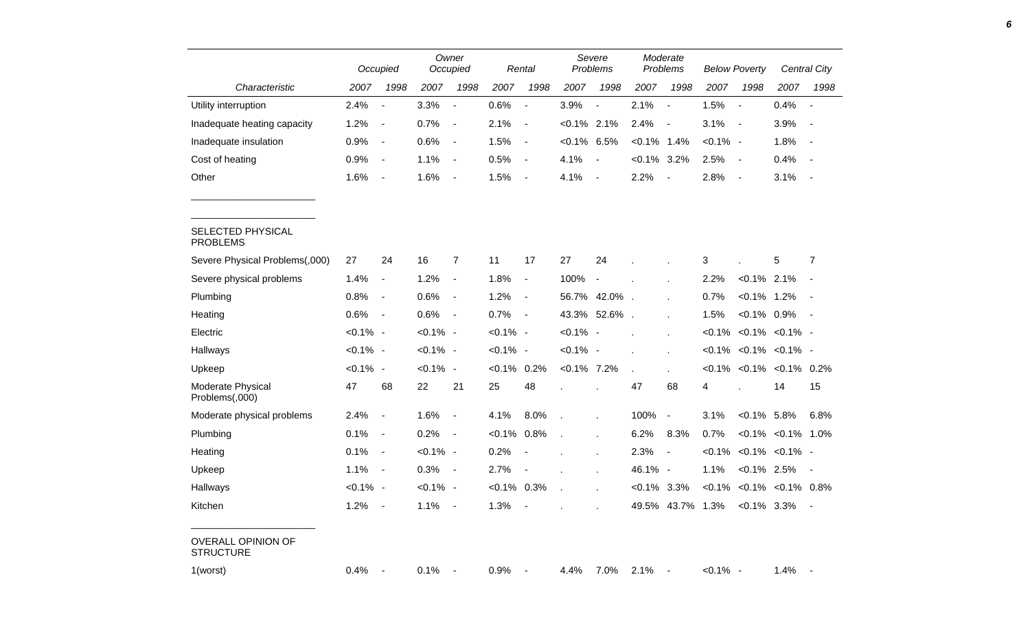|                                               | Occupied    |                          |             | Owner<br>Occupied        |                | Rental                   |                | Severe<br>Problems       |                | Moderate<br>Problems     |             | <b>Below Poverty</b>     |                                    | Central City             |
|-----------------------------------------------|-------------|--------------------------|-------------|--------------------------|----------------|--------------------------|----------------|--------------------------|----------------|--------------------------|-------------|--------------------------|------------------------------------|--------------------------|
| Characteristic                                | 2007        | 1998                     | 2007        | 1998                     | 2007           | 1998                     | 2007           | 1998                     | 2007           | 1998                     | 2007        | 1998                     | 2007                               | 1998                     |
| Utility interruption                          | 2.4%        | $\overline{\phantom{a}}$ | 3.3%        | $\blacksquare$           | 0.6%           | $\blacksquare$           | 3.9%           | $\blacksquare$           | 2.1%           | $\overline{\phantom{a}}$ | 1.5%        | $\overline{\phantom{a}}$ | 0.4%                               | $\overline{\phantom{a}}$ |
| Inadequate heating capacity                   | 1.2%        | $\overline{\phantom{a}}$ | 0.7%        | $\blacksquare$           | 2.1%           | $\overline{\phantom{a}}$ | $< 0.1\%$ 2.1% |                          | 2.4%           | $\blacksquare$           | 3.1%        | $\sim$                   | 3.9%                               |                          |
| Inadequate insulation                         | 0.9%        | $\blacksquare$           | 0.6%        | $\overline{\phantom{a}}$ | 1.5%           | $\overline{\phantom{a}}$ | $< 0.1\%$      | 6.5%                     | $< 0.1\%$ 1.4% |                          | $< 0.1\%$ - |                          | 1.8%                               |                          |
| Cost of heating                               | 0.9%        | $\overline{\phantom{a}}$ | 1.1%        | $\blacksquare$           | 0.5%           | $\blacksquare$           | 4.1%           | $\overline{\phantom{a}}$ | $< 0.1\%$ 3.2% |                          | 2.5%        | $\overline{\phantom{a}}$ | 0.4%                               |                          |
| Other                                         | 1.6%        | $\blacksquare$           | 1.6%        | $\blacksquare$           | 1.5%           | $\blacksquare$           | 4.1%           | $\overline{\phantom{a}}$ | 2.2%           | $\blacksquare$           | 2.8%        | $\overline{\phantom{a}}$ | 3.1%                               | $\sim$                   |
| SELECTED PHYSICAL<br><b>PROBLEMS</b>          |             |                          |             |                          |                |                          |                |                          |                |                          |             |                          |                                    |                          |
| Severe Physical Problems(,000)                | 27          | 24                       | 16          | $\overline{7}$           | 11             | 17                       | 27             | 24                       |                |                          | 3           |                          | 5                                  | $\overline{7}$           |
| Severe physical problems                      | 1.4%        | $\blacksquare$           | 1.2%        | $\overline{\phantom{a}}$ | 1.8%           | $\overline{\phantom{a}}$ | 100%           | $\overline{\phantom{a}}$ |                |                          | 2.2%        | $< 0.1\%$ 2.1%           |                                    |                          |
| Plumbing                                      | 0.8%        | $\overline{\phantom{a}}$ | 0.6%        | $\overline{\phantom{a}}$ | 1.2%           | $\overline{\phantom{a}}$ |                | 56.7% 42.0%              |                |                          | 0.7%        | $< 0.1\%$ 1.2%           |                                    |                          |
| Heating                                       | 0.6%        | $\blacksquare$           | 0.6%        | $\overline{\phantom{a}}$ | 0.7%           | $\overline{\phantom{a}}$ | 43.3%          | 52.6%.                   |                |                          | 1.5%        | $< 0.1\%$ 0.9%           |                                    | $\sim$                   |
| Electric                                      | $< 0.1\%$ - |                          | $< 0.1\%$ - |                          | $< 0.1\%$ -    |                          | $< 0.1\%$ -    |                          |                | $\mathbf{r}$             |             |                          | $< 0.1\%$ < 0.1% < 0.1% -          |                          |
| Hallways                                      | $< 0.1\%$ - |                          | $< 0.1\%$ - |                          | $< 0.1\%$ -    |                          | $< 0.1\%$ -    |                          |                |                          |             |                          | $< 0.1\%$ $< 0.1\%$ $< 0.1\%$ -    |                          |
| Upkeep                                        | - 0.1%      |                          | $< 0.1\%$ - |                          | $< 0.1\%$ 0.2% |                          | $< 0.1\%$ 7.2% |                          |                | ÷.                       |             |                          | $< 0.1\%$ < 0.1% < 0.1% 0.2%       |                          |
| Moderate Physical<br>Problems(,000)           | 47          | 68                       | 22          | 21                       | 25             | 48                       |                |                          | 47             | 68                       | 4           |                          | 14                                 | 15                       |
| Moderate physical problems                    | 2.4%        | $\overline{\phantom{a}}$ | 1.6%        | $\overline{\phantom{a}}$ | 4.1%           | 8.0%                     |                |                          | 100%           | $\blacksquare$           | 3.1%        | $< 0.1\%$ 5.8%           |                                    | 6.8%                     |
| Plumbing                                      | 0.1%        | $\blacksquare$           | 0.2%        | $\overline{\phantom{a}}$ | $< 0.1\%$      | 0.8%                     |                |                          | 6.2%           | 8.3%                     | 0.7%        |                          | $< 0.1\%$ $< 0.1\%$ 1.0%           |                          |
| Heating                                       | 0.1%        | $\blacksquare$           | $< 0.1\%$ - |                          | 0.2%           |                          |                |                          | 2.3%           | $\overline{\phantom{a}}$ | $< 0.1\%$   |                          | $< 0.1\%$ $< 0.1\%$ -              |                          |
| Upkeep                                        | 1.1%        | $\blacksquare$           | 0.3%        | $\overline{\phantom{a}}$ | 2.7%           | $\overline{\phantom{a}}$ |                | $\mathbf{r}$             | 46.1% -        |                          | 1.1%        | $< 0.1\%$ 2.5%           |                                    |                          |
| Hallways                                      | $< 0.1\%$ - |                          | $< 0.1\%$ - |                          | $< 0.1\%$ 0.3% |                          |                | ×                        | $<0.1\%$ 3.3%  |                          |             |                          | $< 0.1\%$ $< 0.1\%$ $< 0.1\%$ 0.8% |                          |
| Kitchen                                       | 1.2%        | $\blacksquare$           | 1.1%        | $\blacksquare$           | 1.3%           |                          |                |                          | 49.5%          | 43.7% 1.3%               |             | $<0.1\%$ 3.3%            |                                    |                          |
| <b>OVERALL OPINION OF</b><br><b>STRUCTURE</b> |             |                          |             |                          |                |                          |                |                          |                |                          |             |                          |                                    |                          |
| 1(worst)                                      | 0.4%        |                          | 0.1%        |                          | 0.9%           |                          | 4.4%           | 7.0%                     | 2.1%           | $\overline{\phantom{a}}$ | $< 0.1\%$ - |                          | 1.4%                               |                          |